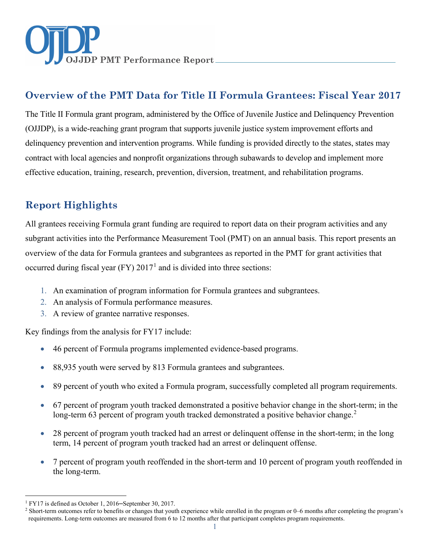

# **Overview of the PMT Data for Title II Formula Grantees: Fiscal Year 2017**

The Title II Formula grant program, administered by the Office of Juvenile Justice and Delinquency Prevention (OJJDP), is a wide-reaching grant program that supports juvenile justice system improvement efforts and delinquency prevention and intervention programs. While funding is provided directly to the states, states may contract with local agencies and nonprofit organizations through subawards to develop and implement more effective education, training, research, prevention, diversion, treatment, and rehabilitation programs.

# **Report Highlights**

All grantees receiving Formula grant funding are required to report data on their program activities and any subgrant activities into the Performance Measurement Tool (PMT) on an annual basis. This report presents an overview of the data for Formula grantees and subgrantees as reported in the PMT for grant activities that occurred during fiscal year (FY)  $2017<sup>1</sup>$  $2017<sup>1</sup>$  $2017<sup>1</sup>$  and is divided into three sections:

- 1. An examination of program information for Formula grantees and subgrantees.
- 2. An analysis of Formula performance measures.
- 3. A review of grantee narrative responses.

Key findings from the analysis for FY17 include:

- 46 percent of Formula programs implemented evidence-based programs.
- 88,935 youth were served by 813 Formula grantees and subgrantees.
- 89 percent of youth who exited a Formula program, successfully completed all program requirements.
- 67 percent of program youth tracked demonstrated a positive behavior change in the short-term; in the long-term 63 percent of program youth tracked demonstrated a positive behavior change.<sup>[2](#page-0-1)</sup>
- 28 percent of program youth tracked had an arrest or delinguent offense in the short-term; in the long term, 14 percent of program youth tracked had an arrest or delinquent offense.
- 7 percent of program youth reoffended in the short-term and 10 percent of program youth reoffended in the long-term.

 $\ddot{\phantom{a}}$ <sup>1</sup> FY17 is defined as October 1, 2016–September 30, 2017.

<span id="page-0-1"></span><span id="page-0-0"></span><sup>&</sup>lt;sup>2</sup> Short-term outcomes refer to benefits or changes that youth experience while enrolled in the program or 0–6 months after completing the program's requirements. Long-term outcomes are measured from 6 to 12 months after that participant completes program requirements.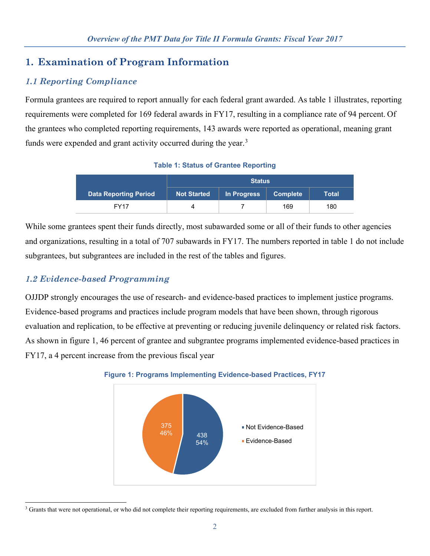## **1. Examination of Program Information**

## *1.1 Reporting Compliance*

Formula grantees are required to report annually for each federal grant awarded. As table 1 illustrates, reporting requirements were completed for 169 federal awards in FY17, resulting in a compliance rate of 94 percent. Of the grantees who completed reporting requirements, 143 awards were reported as operational, meaning grant funds were expended and grant activity occurred during the year.<sup>[3](#page-1-0)</sup>

**Table 1: Status of Grantee Reporting**

|                              | <b>Status</b>      |             |                 |       |
|------------------------------|--------------------|-------------|-----------------|-------|
| <b>Data Reporting Period</b> | <b>Not Started</b> | In Progress | <b>Complete</b> | Total |
| <b>FY17</b>                  |                    |             | 169             | 180   |

While some grantees spent their funds directly, most subawarded some or all of their funds to other agencies and organizations, resulting in a total of 707 subawards in FY17. The numbers reported in table 1 do not include subgrantees, but subgrantees are included in the rest of the tables and figures.

## *1.2 Evidence-based Programming*

OJJDP strongly encourages the use of research- and evidence-based practices to implement justice programs. Evidence-based programs and practices include program models that have been shown, through rigorous evaluation and replication, to be effective at preventing or reducing juvenile delinquency or related risk factors. As shown in figure 1, 46 percent of grantee and subgrantee programs implemented evidence-based practices in FY17, a 4 percent increase from the previous fiscal year



#### **Figure 1: Programs Implementing Evidence-based Practices, FY17**

<span id="page-1-0"></span> $\overline{a}$ <sup>3</sup> Grants that were not operational, or who did not complete their reporting requirements, are excluded from further analysis in this report.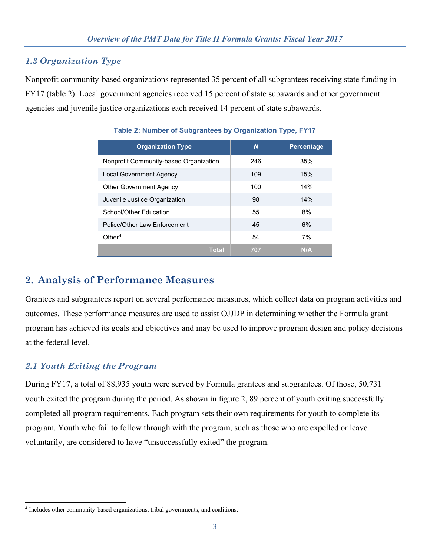### *1.3 Organization Type*

Nonprofit community-based organizations represented 35 percent of all subgrantees receiving state funding in FY17 (table 2). Local government agencies received 15 percent of state subawards and other government agencies and juvenile justice organizations each received 14 percent of state subawards.

| <b>Organization Type</b>               | N   | <b>Percentage</b> |
|----------------------------------------|-----|-------------------|
| Nonprofit Community-based Organization | 246 | 35%               |
| Local Government Agency                | 109 | 15%               |
| <b>Other Government Agency</b>         | 100 | 14%               |
| Juvenile Justice Organization          | 98  | 14%               |
| School/Other Education                 | 55  | 8%                |
| Police/Other Law Enforcement           | 45  | 6%                |
| Other <sup>4</sup>                     | 54  | 7%                |
| Total                                  | 707 | N/A               |

#### **Table 2: Number of Subgrantees by Organization Type, FY17**

## **2. Analysis of Performance Measures**

Grantees and subgrantees report on several performance measures, which collect data on program activities and outcomes. These performance measures are used to assist OJJDP in determining whether the Formula grant program has achieved its goals and objectives and may be used to improve program design and policy decisions at the federal level.

### *2.1 Youth Exiting the Program*

During FY17, a total of 88,935 youth were served by Formula grantees and subgrantees. Of those, 50,731 youth exited the program during the period. As shown in figure 2, 89 percent of youth exiting successfully completed all program requirements. Each program sets their own requirements for youth to complete its program. Youth who fail to follow through with the program, such as those who are expelled or leave voluntarily, are considered to have "unsuccessfully exited" the program.

<span id="page-2-0"></span> $\overline{a}$ 4 Includes other community-based organizations, tribal governments, and coalitions.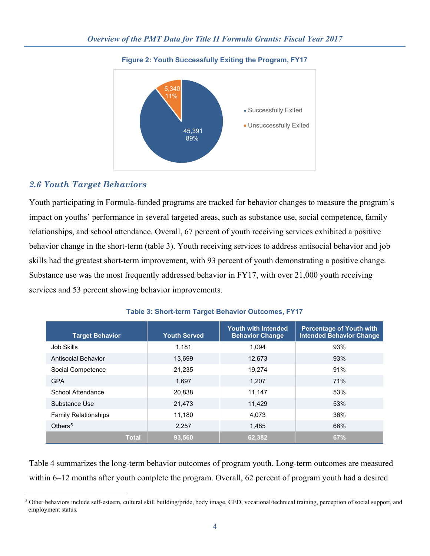

#### **Figure 2: Youth Successfully Exiting the Program, FY17**

### *2.6 Youth Target Behaviors*

Youth participating in Formula-funded programs are tracked for behavior changes to measure the program's impact on youths' performance in several targeted areas, such as substance use, social competence, family relationships, and school attendance. Overall, 67 percent of youth receiving services exhibited a positive behavior change in the short-term (table 3). Youth receiving services to address antisocial behavior and job skills had the greatest short-term improvement, with 93 percent of youth demonstrating a positive change. Substance use was the most frequently addressed behavior in FY17, with over 21,000 youth receiving services and 53 percent showing behavior improvements.

| <b>Target Behavior</b>      | <b>Youth Served</b> | <b>Youth with Intended</b><br><b>Behavior Change</b> | <b>Percentage of Youth with</b><br><b>Intended Behavior Change</b> |
|-----------------------------|---------------------|------------------------------------------------------|--------------------------------------------------------------------|
| Job Skills                  | 1.181               | 1.094                                                | 93%                                                                |
| Antisocial Behavior         | 13,699              | 12,673                                               | 93%                                                                |
| Social Competence           | 21,235              | 19.274                                               | 91%                                                                |
| <b>GPA</b>                  | 1.697               | 1.207                                                | 71%                                                                |
| School Attendance           | 20,838              | 11,147                                               | 53%                                                                |
| Substance Use               | 21,473              | 11.429                                               | 53%                                                                |
| <b>Family Relationships</b> | 11,180              | 4.073                                                | 36%                                                                |
| Others <sup>5</sup>         | 2,257               | 1,485                                                | 66%                                                                |
| <b>Total</b>                | 93,560              | 62,382                                               | 67%                                                                |

#### **Table 3: Short-term Target Behavior Outcomes, FY17**

Table 4 summarizes the long-term behavior outcomes of program youth. Long-term outcomes are measured within 6–12 months after youth complete the program. Overall, 62 percent of program youth had a desired

<span id="page-3-0"></span> $\ddot{\phantom{a}}$ <sup>5</sup> Other behaviors include self-esteem, cultural skill building/pride, body image, GED, vocational/technical training, perception of social support, and employment status.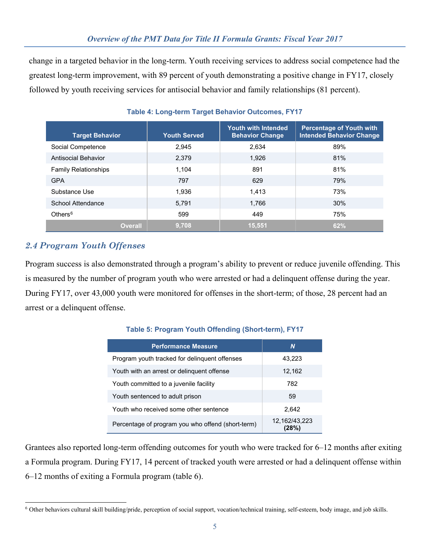change in a targeted behavior in the long-term. Youth receiving services to address social competence had the greatest long-term improvement, with 89 percent of youth demonstrating a positive change in FY17, closely followed by youth receiving services for antisocial behavior and family relationships (81 percent).

| <b>Target Behavior</b>      | <b>Youth Served</b> | <b>Youth with Intended</b><br><b>Behavior Change</b> | <b>Percentage of Youth with</b><br><b>Intended Behavior Change</b> |
|-----------------------------|---------------------|------------------------------------------------------|--------------------------------------------------------------------|
| Social Competence           | 2.945               | 2.634                                                | 89%                                                                |
| Antisocial Behavior         | 2,379               | 1.926                                                | 81%                                                                |
| <b>Family Relationships</b> | 1.104               | 891                                                  | 81%                                                                |
| <b>GPA</b>                  | 797                 | 629                                                  | 79%                                                                |
| Substance Use               | 1.936               | 1.413                                                | 73%                                                                |
| School Attendance           | 5.791               | 1.766                                                | 30%                                                                |
| Others $6$                  | 599                 | 449                                                  | 75%                                                                |
| <b>Overall</b>              | 9,708               | 15.551                                               | 62%                                                                |

#### **Table 4: Long-term Target Behavior Outcomes, FY17**

## *2.4 Program Youth Offenses*

Program success is also demonstrated through a program's ability to prevent or reduce juvenile offending. This is measured by the number of program youth who were arrested or had a delinquent offense during the year. During FY17, over 43,000 youth were monitored for offenses in the short-term; of those, 28 percent had an arrest or a delinquent offense.

| <b>Performance Measure</b>                        | N                        |
|---------------------------------------------------|--------------------------|
| Program youth tracked for delinguent offenses     | 43,223                   |
| Youth with an arrest or delinguent offense        | 12,162                   |
| Youth committed to a juvenile facility            | 782                      |
| Youth sentenced to adult prison                   | 59                       |
| Youth who received some other sentence            | 2.642                    |
| Percentage of program you who offend (short-term) | 12, 162/43, 223<br>(28%) |

#### **Table 5: Program Youth Offending (Short-term), FY17**

Grantees also reported long-term offending outcomes for youth who were tracked for 6–12 months after exiting a Formula program. During FY17, 14 percent of tracked youth were arrested or had a delinquent offense within 6–12 months of exiting a Formula program (table 6).

<span id="page-4-0"></span> $\overline{a}$ <sup>6</sup> Other behaviors cultural skill building/pride, perception of social support, vocation/technical training, self-esteem, body image, and job skills.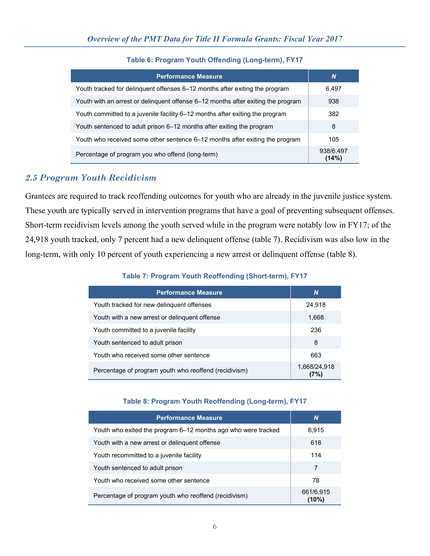| <b>Performance Measure</b>                                                       | N                  |
|----------------------------------------------------------------------------------|--------------------|
| Youth tracked for delinguent offenses 6–12 months after exiting the program      | 6,497              |
| Youth with an arrest or delinguent offense 6–12 months after exiting the program | 938                |
| Youth committed to a juvenile facility 6–12 months after exiting the program     | 382                |
| Youth sentenced to adult prison 6–12 months after exiting the program            | 8                  |
| Youth who received some other sentence 6–12 months after exiting the program     | 105                |
| Percentage of program you who offend (long-term)                                 | 938/6,497<br>(14%) |

#### **Table 6: Program Youth Offending (Long-term), FY17**

### *2.5 Program Youth Recidivism*

Grantees are required to track reoffending outcomes for youth who are already in the juvenile justice system. These youth are typically served in intervention programs that have a goal of preventing subsequent offenses. Short-term recidivism levels among the youth served while in the program were notably low in FY17; of the 24,918 youth tracked, only 7 percent had a new delinquent offense (table 7). Recidivism was also low in the long-term, with only 10 percent of youth experiencing a new arrest or delinquent offense (table 8).

#### **Table 7: Program Youth Reoffending (Short-term), FY17**

| <b>Performance Measure</b>                            | N                   |
|-------------------------------------------------------|---------------------|
| Youth tracked for new delinguent offenses             | 24,918              |
| Youth with a new arrest or delinguent offense         | 1,668               |
| Youth committed to a juvenile facility                | 236                 |
| Youth sentenced to adult prison                       | 8                   |
| Youth who received some other sentence                | 663                 |
| Percentage of program youth who reoffend (recidivism) | 1,668/24,918<br>7%) |

#### **Table 8: Program Youth Reoffending (Long-term), FY17**

| <b>Performance Measure</b>                                    | N                     |
|---------------------------------------------------------------|-----------------------|
| Youth who exited the program 6–12 months ago who were tracked | 6,915                 |
| Youth with a new arrest or delinguent offense                 | 618                   |
| Youth recommitted to a juvenile facility                      | 114                   |
| Youth sentenced to adult prison                               | 7                     |
| Youth who received some other sentence                        | 78                    |
| Percentage of program youth who reoffend (recidivism)         | 661/6,915<br>$(10\%)$ |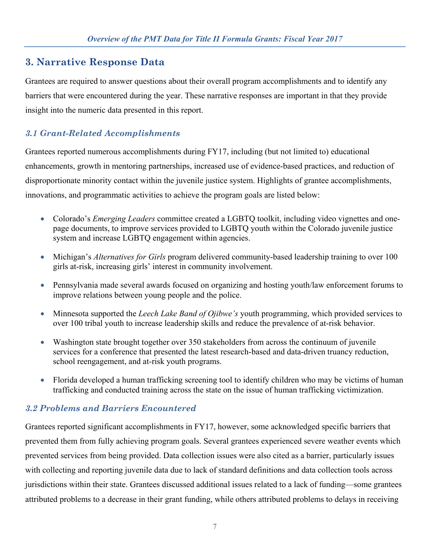## **3. Narrative Response Data**

Grantees are required to answer questions about their overall program accomplishments and to identify any barriers that were encountered during the year. These narrative responses are important in that they provide insight into the numeric data presented in this report.

## *3.1 Grant-Related Accomplishments*

Grantees reported numerous accomplishments during FY17, including (but not limited to) educational enhancements, growth in mentoring partnerships, increased use of evidence-based practices, and reduction of disproportionate minority contact within the juvenile justice system. Highlights of grantee accomplishments, innovations, and programmatic activities to achieve the program goals are listed below:

- Colorado's *Emerging Leaders* committee created a LGBTQ toolkit, including video vignettes and onepage documents, to improve services provided to LGBTQ youth within the Colorado juvenile justice system and increase LGBTQ engagement within agencies.
- Michigan's *Alternatives for Girls* program delivered community-based leadership training to over 100 girls at-risk, increasing girls' interest in community involvement.
- Pennsylvania made several awards focused on organizing and hosting youth/law enforcement forums to improve relations between young people and the police.
- Minnesota supported the *Leech Lake Band of Ojibwe's* youth programming, which provided services to over 100 tribal youth to increase leadership skills and reduce the prevalence of at-risk behavior.
- Washington state brought together over 350 stakeholders from across the continuum of juvenile services for a conference that presented the latest research-based and data-driven truancy reduction, school reengagement, and at-risk youth programs.
- Florida developed a human trafficking screening tool to identify children who may be victims of human trafficking and conducted training across the state on the issue of human trafficking victimization.

### *3.2 Problems and Barriers Encountered*

Grantees reported significant accomplishments in FY17, however, some acknowledged specific barriers that prevented them from fully achieving program goals. Several grantees experienced severe weather events which prevented services from being provided. Data collection issues were also cited as a barrier, particularly issues with collecting and reporting juvenile data due to lack of standard definitions and data collection tools across jurisdictions within their state. Grantees discussed additional issues related to a lack of funding—some grantees attributed problems to a decrease in their grant funding, while others attributed problems to delays in receiving